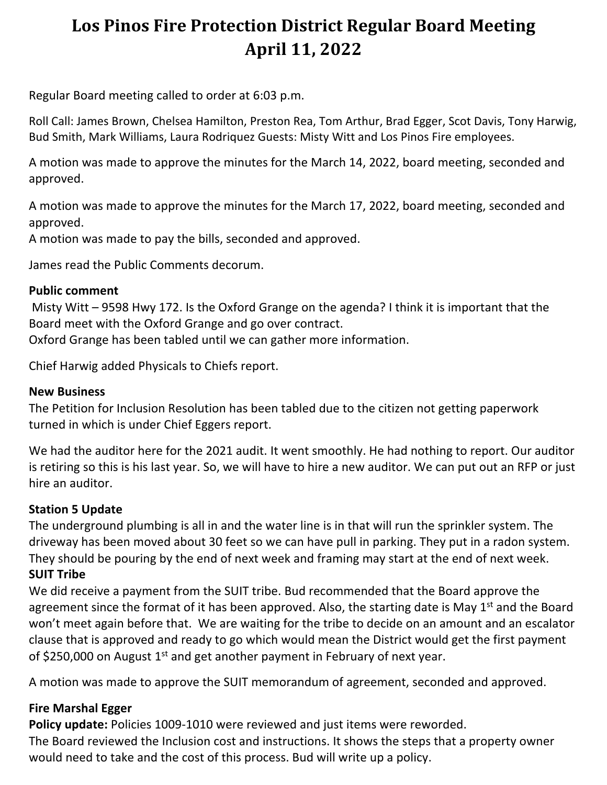# **Los Pinos Fire Protection District Regular Board Meeting April 11, 2022**

Regular Board meeting called to order at 6:03 p.m.

Roll Call: James Brown, Chelsea Hamilton, Preston Rea, Tom Arthur, Brad Egger, Scot Davis, Tony Harwig, Bud Smith, Mark Williams, Laura Rodriquez Guests: Misty Witt and Los Pinos Fire employees.

A motion was made to approve the minutes for the March 14, 2022, board meeting, seconded and approved.

A motion was made to approve the minutes for the March 17, 2022, board meeting, seconded and approved.

A motion was made to pay the bills, seconded and approved.

James read the Public Comments decorum.

#### **Public comment**

Misty Witt – 9598 Hwy 172. Is the Oxford Grange on the agenda? I think it is important that the Board meet with the Oxford Grange and go over contract. Oxford Grange has been tabled until we can gather more information.

Chief Harwig added Physicals to Chiefs report.

#### **New Business**

The Petition for Inclusion Resolution has been tabled due to the citizen not getting paperwork turned in which is under Chief Eggers report.

We had the auditor here for the 2021 audit. It went smoothly. He had nothing to report. Our auditor is retiring so this is his last year. So, we will have to hire a new auditor. We can put out an RFP or just hire an auditor.

#### **Station 5 Update**

The underground plumbing is all in and the water line is in that will run the sprinkler system. The driveway has been moved about 30 feet so we can have pull in parking. They put in a radon system. They should be pouring by the end of next week and framing may start at the end of next week. **SUIT Tribe**

We did receive a payment from the SUIT tribe. Bud recommended that the Board approve the agreement since the format of it has been approved. Also, the starting date is May  $1<sup>st</sup>$  and the Board won't meet again before that. We are waiting for the tribe to decide on an amount and an escalator clause that is approved and ready to go which would mean the District would get the first payment of \$250,000 on August 1<sup>st</sup> and get another payment in February of next year.

A motion was made to approve the SUIT memorandum of agreement, seconded and approved.

# **Fire Marshal Egger**

**Policy update:** Policies 1009-1010 were reviewed and just items were reworded.

The Board reviewed the Inclusion cost and instructions. It shows the steps that a property owner would need to take and the cost of this process. Bud will write up a policy.